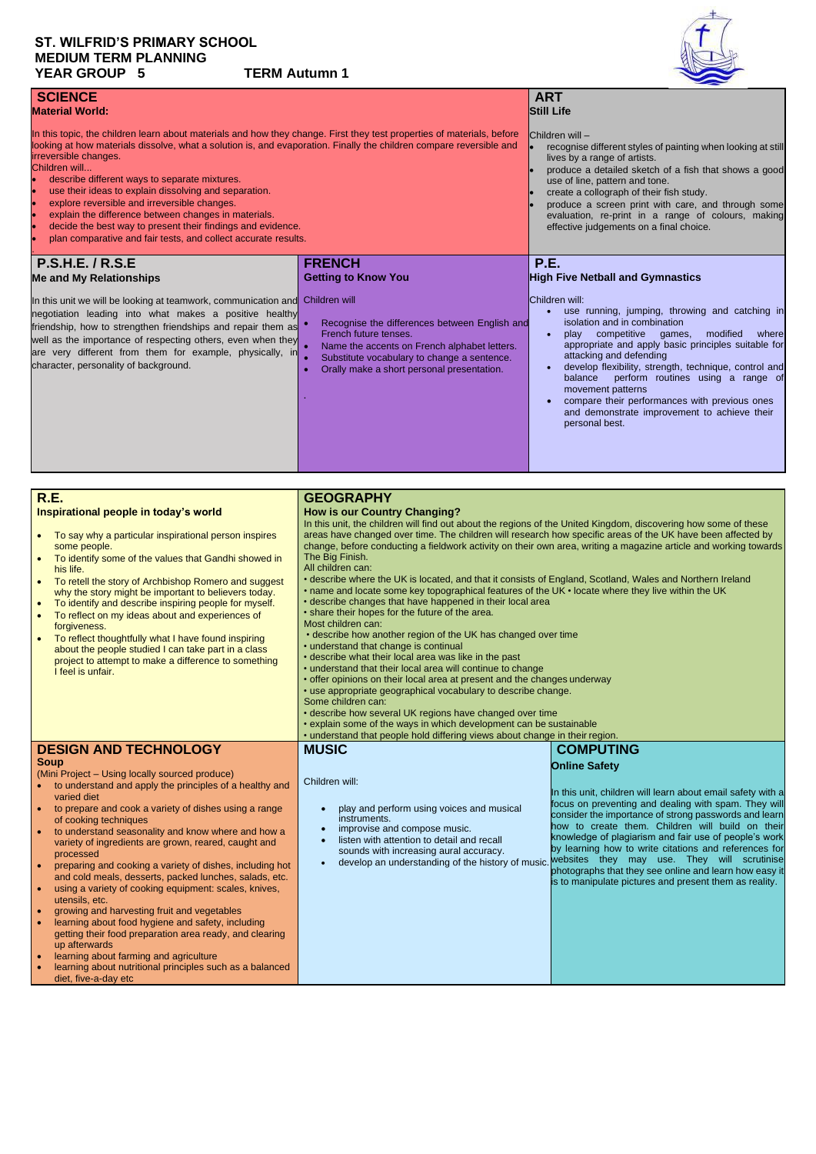# **ST. WILFRID'S PRIMARY SCHOOL MEDIUM TERM PLANNING YEAR GROUP 5 TERM Autumn 1**



| <b>SCIENCE</b><br><b>Material World:</b>                                                                                                                                                                                                                                                                                                                                                                                                                                                                                                                                                                                                                                                             |                                                                                                                                                                                                                                      | <b>ART</b><br><b>Still Life</b>                                                                                                                                                                                                                                                                                                                                                                                                                                                           |  |
|------------------------------------------------------------------------------------------------------------------------------------------------------------------------------------------------------------------------------------------------------------------------------------------------------------------------------------------------------------------------------------------------------------------------------------------------------------------------------------------------------------------------------------------------------------------------------------------------------------------------------------------------------------------------------------------------------|--------------------------------------------------------------------------------------------------------------------------------------------------------------------------------------------------------------------------------------|-------------------------------------------------------------------------------------------------------------------------------------------------------------------------------------------------------------------------------------------------------------------------------------------------------------------------------------------------------------------------------------------------------------------------------------------------------------------------------------------|--|
| In this topic, the children learn about materials and how they change. First they test properties of materials, before<br>looking at how materials dissolve, what a solution is, and evaporation. Finally the children compare reversible and<br>irreversible changes.<br>Children will<br>describe different ways to separate mixtures.<br><b>lo</b><br>use their ideas to explain dissolving and separation.<br>explore reversible and irreversible changes.<br><b>lo</b><br><b>lo</b><br>explain the difference between changes in materials.<br>decide the best way to present their findings and evidence.<br><b>le</b><br>plan comparative and fair tests, and collect accurate results.<br>lo |                                                                                                                                                                                                                                      | $\blacksquare$ Children will -<br>recognise different styles of painting when looking at still<br>lives by a range of artists.<br>produce a detailed sketch of a fish that shows a good<br>use of line, pattern and tone.<br>create a collograph of their fish study.<br>produce a screen print with care, and through some<br>evaluation, re-print in a range of colours, making<br>effective judgements on a final choice.                                                              |  |
| <b>P.S.H.E. / R.S.E</b><br><b>Me and My Relationships</b>                                                                                                                                                                                                                                                                                                                                                                                                                                                                                                                                                                                                                                            | <b>FRENCH</b><br><b>Getting to Know You</b>                                                                                                                                                                                          | <b>P.E.</b><br><b>High Five Netball and Gymnastics</b>                                                                                                                                                                                                                                                                                                                                                                                                                                    |  |
| In this unit we will be looking at teamwork, communication and<br>negotiation leading into what makes a positive healthy<br>friendship, how to strengthen friendships and repair them as<br>well as the importance of respecting others, even when they<br>are very different from them for example, physically, in<br>character, personality of background.                                                                                                                                                                                                                                                                                                                                         | Children will<br>Recognise the differences between English and<br>French future tenses.<br>Name the accents on French alphabet letters.<br>Substitute vocabulary to change a sentence.<br>Orally make a short personal presentation. | Children will:<br>use running, jumping, throwing and catching in<br>isolation and in combination<br>modified<br>competitive<br>where<br>games,<br>play<br>appropriate and apply basic principles suitable for<br>attacking and defending<br>develop flexibility, strength, technique, control and<br>balance<br>perform routines using a range of<br>movement patterns<br>compare their performances with previous ones<br>and demonstrate improvement to achieve their<br>personal best. |  |

| <b>R.E.</b>                                                                                                 | <b>GEOGRAPHY</b>                                                                                                   |                                                             |  |
|-------------------------------------------------------------------------------------------------------------|--------------------------------------------------------------------------------------------------------------------|-------------------------------------------------------------|--|
| Inspirational people in today's world                                                                       | <b>How is our Country Changing?</b>                                                                                |                                                             |  |
|                                                                                                             | In this unit, the children will find out about the regions of the United Kingdom, discovering how some of these    |                                                             |  |
| To say why a particular inspirational person inspires                                                       | areas have changed over time. The children will research how specific areas of the UK have been affected by        |                                                             |  |
| some people.                                                                                                | change, before conducting a fieldwork activity on their own area, writing a magazine article and working towards   |                                                             |  |
| To identify some of the values that Gandhi showed in                                                        | The Big Finish.                                                                                                    |                                                             |  |
| his life.                                                                                                   | All children can:                                                                                                  |                                                             |  |
| To retell the story of Archbishop Romero and suggest                                                        | • describe where the UK is located, and that it consists of England, Scotland, Wales and Northern Ireland          |                                                             |  |
| why the story might be important to believers today.                                                        | • name and locate some key topographical features of the UK • locate where they live within the UK                 |                                                             |  |
| To identify and describe inspiring people for myself.<br>$\bullet$                                          | • describe changes that have happened in their local area<br>• share their hopes for the future of the area.       |                                                             |  |
| To reflect on my ideas about and experiences of                                                             | Most children can:                                                                                                 |                                                             |  |
| forgiveness.                                                                                                | • describe how another region of the UK has changed over time                                                      |                                                             |  |
| To reflect thoughtfully what I have found inspiring                                                         | • understand that change is continual                                                                              |                                                             |  |
| about the people studied I can take part in a class<br>project to attempt to make a difference to something | • describe what their local area was like in the past                                                              |                                                             |  |
| I feel is unfair.                                                                                           | • understand that their local area will continue to change                                                         |                                                             |  |
|                                                                                                             | • offer opinions on their local area at present and the changes underway                                           |                                                             |  |
|                                                                                                             | • use appropriate geographical vocabulary to describe change.                                                      |                                                             |  |
|                                                                                                             | Some children can:                                                                                                 |                                                             |  |
|                                                                                                             | • describe how several UK regions have changed over time                                                           |                                                             |  |
|                                                                                                             | • explain some of the ways in which development can be sustainable                                                 |                                                             |  |
|                                                                                                             | • understand that people hold differing views about change in their region.                                        |                                                             |  |
| <b>DESIGN AND TECHNOLOGY</b>                                                                                | <b>MUSIC</b>                                                                                                       | <b>COMPUTING</b>                                            |  |
| <b>Soup</b>                                                                                                 |                                                                                                                    | <b>Online Safety</b>                                        |  |
| (Mini Project – Using locally sourced produce)                                                              | Children will:                                                                                                     |                                                             |  |
| to understand and apply the principles of a healthy and                                                     |                                                                                                                    | In this unit, children will learn about email safety with a |  |
| varied diet                                                                                                 |                                                                                                                    | focus on preventing and dealing with spam. They will        |  |
| to prepare and cook a variety of dishes using a range<br>of cooking techniques                              | play and perform using voices and musical<br>consider the importance of strong passwords and learn<br>instruments. |                                                             |  |
| to understand seasonality and know where and how a                                                          | how to create them. Children will build on their<br>improvise and compose music.                                   |                                                             |  |
| variety of ingredients are grown, reared, caught and                                                        | listen with attention to detail and recall                                                                         | knowledge of plagiarism and fair use of people's work       |  |
| processed                                                                                                   | sounds with increasing aural accuracy.                                                                             | by learning how to write citations and references for       |  |
| preparing and cooking a variety of dishes including hot                                                     | develop an understanding of the history of music.                                                                  | websites they may use. They will scrutinise                 |  |

• preparing and cooking a variety of dishes, including hot

| preparing and cooking a variety of distrest including not | photographs that they see online and learn how easy it |
|-----------------------------------------------------------|--------------------------------------------------------|
| and cold meals, desserts, packed lunches, salads, etc.    | is to manipulate pictures and present them as reality. |
| using a variety of cooking equipment: scales, knives,     |                                                        |
| utensils, etc.                                            |                                                        |
| growing and harvesting fruit and vegetables               |                                                        |
| learning about food hygiene and safety, including         |                                                        |
| getting their food preparation area ready, and clearing   |                                                        |
| up afterwards                                             |                                                        |
| learning about farming and agriculture                    |                                                        |
| learning about nutritional principles such as a balanced  |                                                        |
| diet, five-a-day etc                                      |                                                        |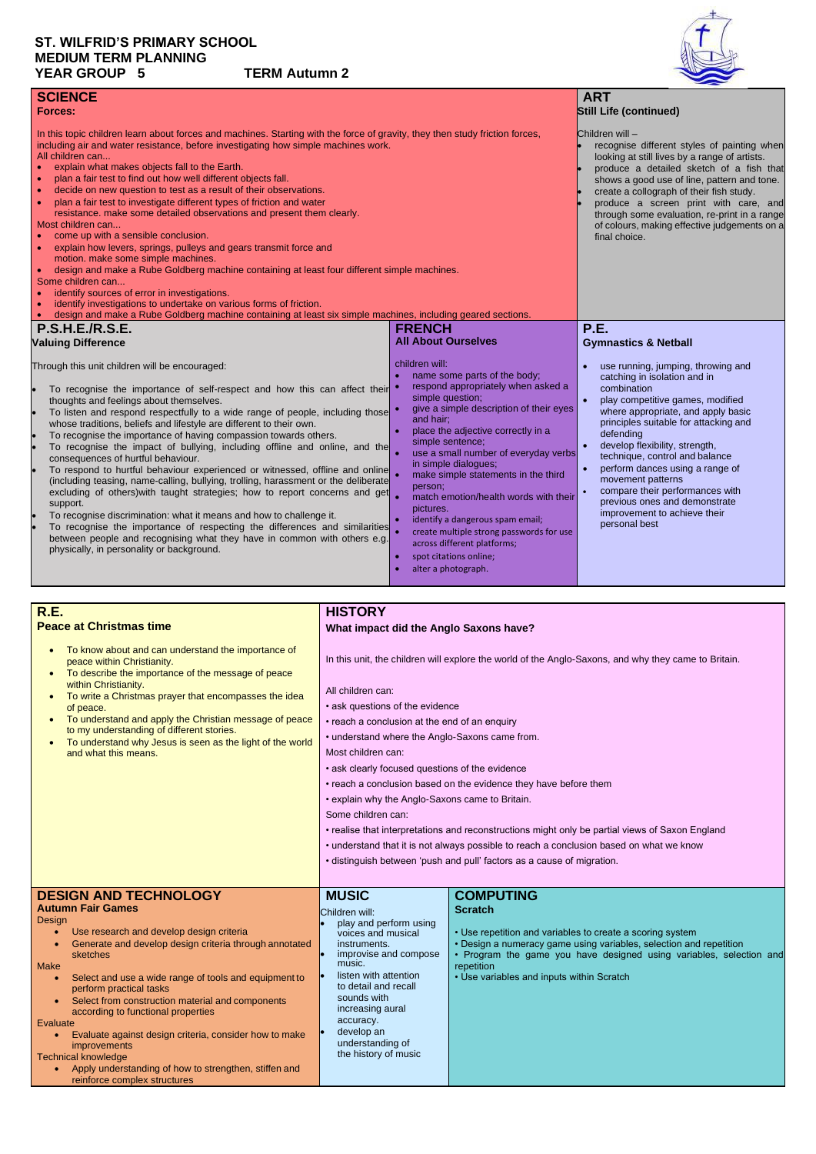# **ST. WILFRID'S PRIMARY SCHOOL MEDIUM TERM PLANNING YEAR GROUP 5 TERM Autumn 2**



| <b>SCIENCE</b><br><b>Forces:</b>                                                                                                                                                                                                                                                                                                                                                                                                                                                                                                                                                                                                                                                                                                                                                                                                                                                                                                                                                                                                                                                                                                                                    |                                                                                                                                                                                                                                                                                                                                                                                                                                                                                                                                                                    | <b>ART</b><br><b>Still Life (continued)</b>                                                                                                                                                                                                                                                                                                                                                                                                                                     |
|---------------------------------------------------------------------------------------------------------------------------------------------------------------------------------------------------------------------------------------------------------------------------------------------------------------------------------------------------------------------------------------------------------------------------------------------------------------------------------------------------------------------------------------------------------------------------------------------------------------------------------------------------------------------------------------------------------------------------------------------------------------------------------------------------------------------------------------------------------------------------------------------------------------------------------------------------------------------------------------------------------------------------------------------------------------------------------------------------------------------------------------------------------------------|--------------------------------------------------------------------------------------------------------------------------------------------------------------------------------------------------------------------------------------------------------------------------------------------------------------------------------------------------------------------------------------------------------------------------------------------------------------------------------------------------------------------------------------------------------------------|---------------------------------------------------------------------------------------------------------------------------------------------------------------------------------------------------------------------------------------------------------------------------------------------------------------------------------------------------------------------------------------------------------------------------------------------------------------------------------|
| In this topic children learn about forces and machines. Starting with the force of gravity, they then study friction forces,<br>including air and water resistance, before investigating how simple machines work.<br>All children can<br>explain what makes objects fall to the Earth.<br>$\bullet$<br>plan a fair test to find out how well different objects fall.<br>decide on new question to test as a result of their observations.<br>$\bullet$<br>plan a fair test to investigate different types of friction and water<br>$\bullet$<br>resistance. make some detailed observations and present them clearly.<br>Most children can<br>come up with a sensible conclusion.<br>explain how levers, springs, pulleys and gears transmit force and<br>motion. make some simple machines.<br>design and make a Rube Goldberg machine containing at least four different simple machines.<br>$\bullet$<br>Some children can<br>identify sources of error in investigations.<br>identify investigations to undertake on various forms of friction.<br>design and make a Rube Goldberg machine containing at least six simple machines, including geared sections. |                                                                                                                                                                                                                                                                                                                                                                                                                                                                                                                                                                    | Children will -<br>recognise different styles of painting when<br>looking at still lives by a range of artists.<br>produce a detailed sketch of a fish that<br>shows a good use of line, pattern and tone.<br>create a collograph of their fish study.<br>produce a screen print with care, and<br>through some evaluation, re-print in a range<br>of colours, making effective judgements on a<br>final choice.                                                                |
| <b>P.S.H.E./R.S.E.</b>                                                                                                                                                                                                                                                                                                                                                                                                                                                                                                                                                                                                                                                                                                                                                                                                                                                                                                                                                                                                                                                                                                                                              | <b>FRENCH</b>                                                                                                                                                                                                                                                                                                                                                                                                                                                                                                                                                      | <b>P.E.</b>                                                                                                                                                                                                                                                                                                                                                                                                                                                                     |
| <b>Valuing Difference</b>                                                                                                                                                                                                                                                                                                                                                                                                                                                                                                                                                                                                                                                                                                                                                                                                                                                                                                                                                                                                                                                                                                                                           | <b>All About Ourselves</b>                                                                                                                                                                                                                                                                                                                                                                                                                                                                                                                                         | <b>Gymnastics &amp; Netball</b>                                                                                                                                                                                                                                                                                                                                                                                                                                                 |
| Through this unit children will be encouraged:<br>To recognise the importance of self-respect and how this can affect their<br>thoughts and feelings about themselves.<br>To listen and respond respectfully to a wide range of people, including those<br>whose traditions, beliefs and lifestyle are different to their own.<br>To recognise the importance of having compassion towards others.<br>To recognise the impact of bullying, including offline and online, and the<br>consequences of hurtful behaviour.<br>To respond to hurtful behaviour experienced or witnessed, offline and online<br>(including teasing, name-calling, bullying, trolling, harassment or the deliberate<br>excluding of others) with taught strategies; how to report concerns and get<br>support.<br>To recognise discrimination: what it means and how to challenge it.<br>To recognise the importance of respecting the differences and similarities<br>between people and recognising what they have in common with others e.g.<br>physically, in personality or background.                                                                                               | children will:<br>name some parts of the body;<br>respond appropriately when asked a<br>simple question;<br>give a simple description of their eyes<br>and hair;<br>place the adjective correctly in a<br>simple sentence;<br>use a small number of everyday verbs<br>in simple dialogues;<br>make simple statements in the third<br>person:<br>match emotion/health words with their<br>pictures.<br>identify a dangerous spam email;<br>create multiple strong passwords for use<br>across different platforms;<br>spot citations online;<br>alter a photograph. | use running, jumping, throwing and<br>catching in isolation and in<br>combination<br>play competitive games, modified<br>$\bullet$<br>where appropriate, and apply basic<br>principles suitable for attacking and<br>defending<br>develop flexibility, strength,<br>technique, control and balance<br>perform dances using a range of<br>movement patterns<br>compare their performances with<br>previous ones and demonstrate<br>improvement to achieve their<br>personal best |

- Select and use a wide range of tools and equipment to perform practical tasks
- Select from construction material and components according to functional properties

Apply understanding of how to strengthen, stiffen and reinforce complex structures

## **R.E. Peace at Christmas time**

• To know about and can understand the importance of

peace within Christianity.

within Christianity.

• To describe the importance of the message of peace

• To write a Christmas prayer that encompasses the idea

of peace.

to my understanding of different stories.

• To understand why Jesus is seen as the light of the world

and what this means.

# **HISTORY**

**What impact did the Anglo Saxons have?** 

In this unit, the children will explore the world of the Anglo-Saxons, and why they came to Britain.

- All children can:
	- ask questions of the evidence
- To understand and apply the Christian message of peace • reach a conclusion at the end of an enquiry
	- understand where the Anglo-Saxons came from.
	- Most children can:
	- ask clearly focused questions of the evidence
	- reach a conclusion based on the evidence they have before them
	- explain why the Anglo-Saxons came to Britain.

Some children can:

- realise that interpretations and reconstructions might only be partial views of Saxon England
- understand that it is not always possible to reach a conclusion based on what we know
- distinguish between 'push and pull' factors as a cause of migration.

#### **DESIGN AND TECHNOLOGY Autumn Fair Games**

# Design

- Use research and develop design criteria
- Generate and develop design criteria through annotated sketches

Make

Evaluate

• Evaluate against design criteria, consider how to make improvements

Technical knowledge

# **MUSIC**

Children will:

- play and perform using voices and musical instruments.
- improvise and compose music.
	- listen with attention to detail and recall sounds with increasing aural accuracy.
- develop an understanding of the history of music

## **COMPUTING Scratch**

- Use repetition and variables to create a scoring system
- Design a numeracy game using variables, selection and repetition
- Program the game you have designed using variables, selection and repetition
- Use variables and inputs within Scratch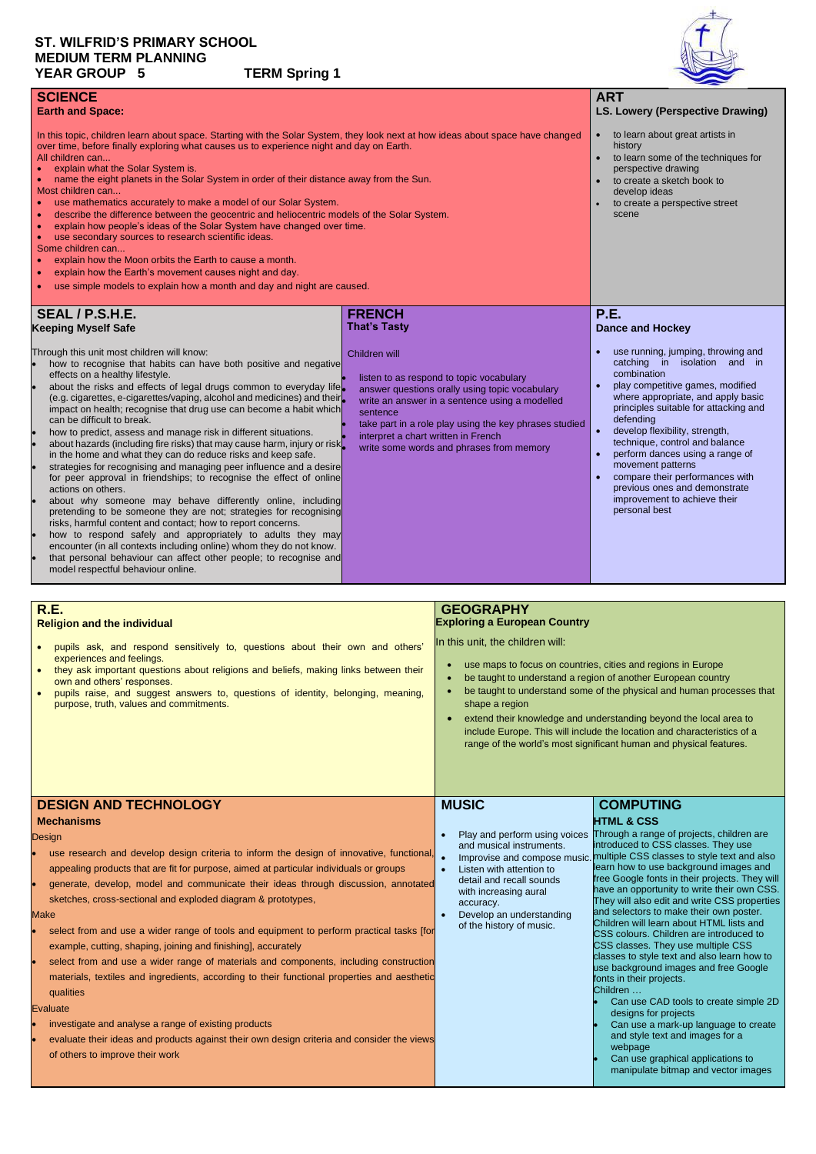# **ST. WILFRID'S PRIMARY SCHOOL MEDIUM TERM PLANNING YEAR GROUP 5 TERM Spring 1**



| <b>SCIENCE</b><br><b>Earth and Space:</b><br>In this topic, children learn about space. Starting with the Solar System, they look next at how ideas about space have changed<br>over time, before finally exploring what causes us to experience night and day on Earth.<br>All children can<br>explain what the Solar System is.<br>name the eight planets in the Solar System in order of their distance away from the Sun.<br>Most children can<br>use mathematics accurately to make a model of our Solar System.<br>describe the difference between the geocentric and heliocentric models of the Solar System.<br>$\bullet$<br>explain how people's ideas of the Solar System have changed over time.<br>$\bullet$<br>use secondary sources to research scientific ideas.<br>$\bullet$<br>Some children can<br>explain how the Moon orbits the Earth to cause a month.<br>explain how the Earth's movement causes night and day.<br>use simple models to explain how a month and day and night are caused.<br>$\bullet$                                                                                                                                                                                                                |                                                                                                                                                                                                                                                                                                                        | <b>ART</b><br><b>LS. Lowery (Perspective Drawing)</b><br>to learn about great artists in<br>$\bullet$<br>history<br>to learn some of the techniques for<br>$\bullet$<br>perspective drawing<br>to create a sketch book to<br>develop ideas<br>to create a perspective street<br>scene                                                                                                                                                                                                                     |
|----------------------------------------------------------------------------------------------------------------------------------------------------------------------------------------------------------------------------------------------------------------------------------------------------------------------------------------------------------------------------------------------------------------------------------------------------------------------------------------------------------------------------------------------------------------------------------------------------------------------------------------------------------------------------------------------------------------------------------------------------------------------------------------------------------------------------------------------------------------------------------------------------------------------------------------------------------------------------------------------------------------------------------------------------------------------------------------------------------------------------------------------------------------------------------------------------------------------------------------------|------------------------------------------------------------------------------------------------------------------------------------------------------------------------------------------------------------------------------------------------------------------------------------------------------------------------|-----------------------------------------------------------------------------------------------------------------------------------------------------------------------------------------------------------------------------------------------------------------------------------------------------------------------------------------------------------------------------------------------------------------------------------------------------------------------------------------------------------|
| <b>SEAL / P.S.H.E.</b><br><b>Keeping Myself Safe</b>                                                                                                                                                                                                                                                                                                                                                                                                                                                                                                                                                                                                                                                                                                                                                                                                                                                                                                                                                                                                                                                                                                                                                                                         | <b>FRENCH</b><br><b>That's Tasty</b>                                                                                                                                                                                                                                                                                   | <b>P.E.</b><br><b>Dance and Hockey</b>                                                                                                                                                                                                                                                                                                                                                                                                                                                                    |
| Through this unit most children will know:<br>how to recognise that habits can have both positive and negative<br>effects on a healthy lifestyle.<br>about the risks and effects of legal drugs common to everyday life.<br>(e.g. cigarettes, e-cigarettes/vaping, alcohol and medicines) and their<br>impact on health; recognise that drug use can become a habit which<br>can be difficult to break.<br>how to predict, assess and manage risk in different situations.<br>about hazards (including fire risks) that may cause harm, injury or risk<br>in the home and what they can do reduce risks and keep safe.<br>strategies for recognising and managing peer influence and a desire<br>for peer approval in friendships; to recognise the effect of online<br>actions on others.<br>about why someone may behave differently online, including<br>pretending to be someone they are not; strategies for recognising<br>risks, harmful content and contact; how to report concerns.<br>how to respond safely and appropriately to adults they may<br>encounter (in all contexts including online) whom they do not know.<br>that personal behaviour can affect other people; to recognise and<br>model respectful behaviour online. | Children will<br>listen to as respond to topic vocabulary<br>answer questions orally using topic vocabulary<br>write an answer in a sentence using a modelled<br>sentence<br>take part in a role play using the key phrases studied<br>interpret a chart written in French<br>write some words and phrases from memory | use running, jumping, throwing and<br>catching in isolation and in<br>combination<br>play competitive games, modified<br>$\bullet$<br>where appropriate, and apply basic<br>principles suitable for attacking and<br>defending<br>develop flexibility, strength,<br>$\bullet$<br>technique, control and balance<br>perform dances using a range of<br>$\bullet$<br>movement patterns<br>compare their performances with<br>previous ones and demonstrate<br>improvement to achieve their<br>personal best |

- use maps to focus on countries, cities and regions in Europe
- be taught to understand a region of another European country
- be taught to understand some of the physical and human processes that shape a region
- extend their knowledge and understanding beyond the local area to include Europe. This will include the location and characteristics of a range of the world's most significant human and physical features.

use research and develop design criteria to inform the design of innovative, functional, appealing products that are fit for purpose, aimed at particular individuals or groups

- select from and use a wider range of tools and equipment to perform practical tasks [for example, cutting, shaping, joining and finishing], accurately
- select from and use a wider range of materials and components, including construction materials, textiles and ingredients, according to their functional properties and aesthetic qualities

#### **Evaluate**

- investigate and analyse a range of existing products
- evaluate their ideas and products against their own design criteria and consider the views of others to improve their work
- Play and perform using voices and musical instruments.
- 
- Listen with attention to

• Improvise and compose music. multiple CSS classes to style text and also Through a range of projects, children are introduced to CSS classes. They use learn how to use background images and

| R.E.            |  |
|-----------------|--|
| <b>Delisien</b> |  |

# **Religion and the individual**

- pupils ask, and respond sensitively to, questions about their own and others' experiences and feelings.
- they ask important questions about religions and beliefs, making links between their own and others' responses.
- pupils raise, and suggest answers to, questions of identity, belonging, meaning, purpose, truth, values and commitments.

## **GEOGRAPHY Exploring a European Country**

In this unit, the children will:

# **DESIGN AND TECHNOLOGY Mechanisms**

Design

- 
- generate, develop, model and communicate their ideas through discussion, annotated sketches, cross-sectional and exploded diagram & prototypes,

#### Make

# **MUSIC**

- detail and recall sounds with increasing aural accuracy.
- Develop an understanding of the history of music.

# **COMPUTING HTML & CSS**

free Google fonts in their projects. They will have an opportunity to write their own CSS. They will also edit and write CSS properties and selectors to make their own poster. Children will learn about HTML lists and CSS colours. Children are introduced to CSS classes. They use multiple CSS classes to style text and also learn how to use background images and free Google fonts in their projects.

#### Children …

- Can use CAD tools to create simple 2D designs for projects
- Can use a mark-up language to create and style text and images for a webpage
- Can use graphical applications to manipulate bitmap and vector images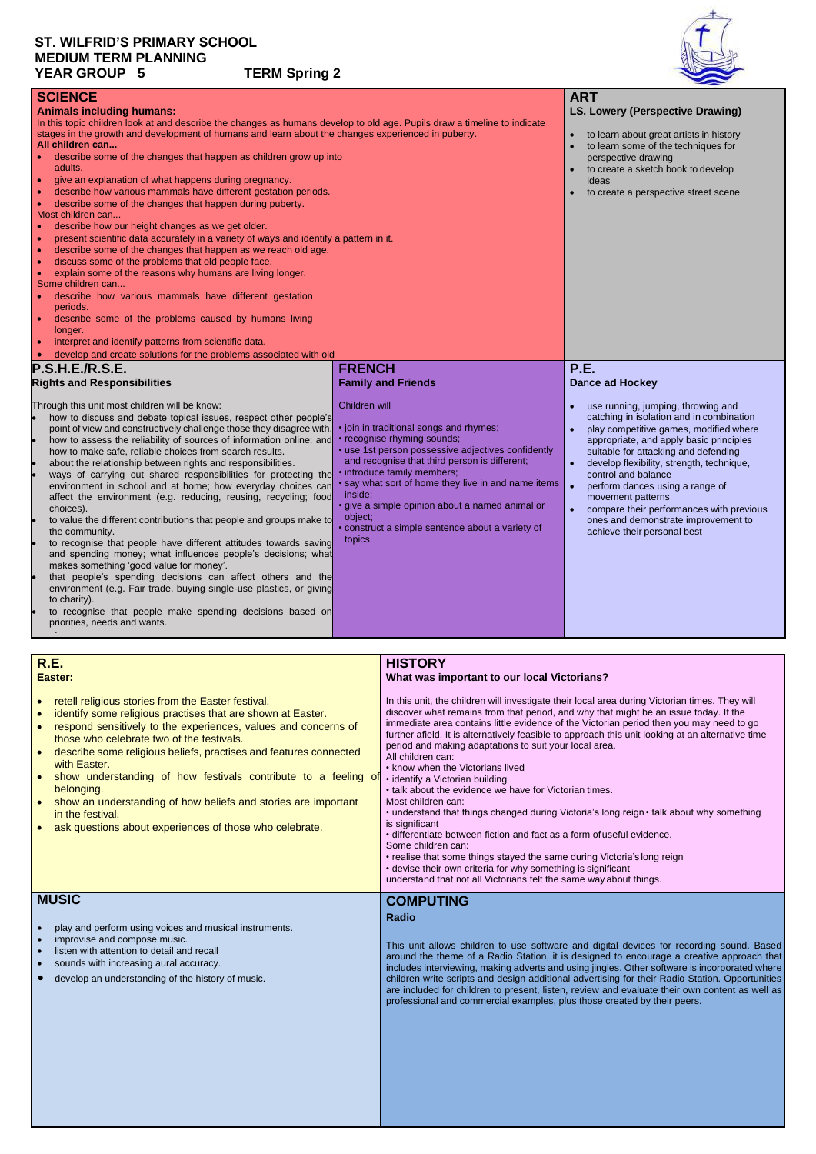# **ST. WILFRID'S PRIMARY SCHOOL MEDIUM TERM PLANNING YEAR GROUP 5 TERM Spring 2**



| <b>SCIENCE</b>                                                                                                           |                                                     | <b>ART</b>                                             |
|--------------------------------------------------------------------------------------------------------------------------|-----------------------------------------------------|--------------------------------------------------------|
| <b>Animals including humans:</b>                                                                                         | <b>LS. Lowery (Perspective Drawing)</b>             |                                                        |
| In this topic children look at and describe the changes as humans develop to old age. Pupils draw a timeline to indicate |                                                     |                                                        |
| stages in the growth and development of humans and learn about the changes experienced in puberty.                       | to learn about great artists in history             |                                                        |
| All children can                                                                                                         |                                                     | to learn some of the techniques for                    |
| describe some of the changes that happen as children grow up into                                                        |                                                     | perspective drawing                                    |
| adults.                                                                                                                  |                                                     | to create a sketch book to develop                     |
| give an explanation of what happens during pregnancy.                                                                    |                                                     | ideas                                                  |
| describe how various mammals have different gestation periods.<br>$\bullet$                                              |                                                     | to create a perspective street scene                   |
| describe some of the changes that happen during puberty.<br>$\bullet$                                                    |                                                     |                                                        |
| Most children can                                                                                                        |                                                     |                                                        |
| describe how our height changes as we get older.<br>$\bullet$                                                            |                                                     |                                                        |
| present scientific data accurately in a variety of ways and identify a pattern in it.<br>$\bullet$                       |                                                     |                                                        |
| describe some of the changes that happen as we reach old age.<br>$\bullet$                                               |                                                     |                                                        |
| discuss some of the problems that old people face.<br>$\bullet$                                                          |                                                     |                                                        |
| explain some of the reasons why humans are living longer.<br>$\bullet$                                                   |                                                     |                                                        |
| Some children can                                                                                                        |                                                     |                                                        |
| describe how various mammals have different gestation                                                                    |                                                     |                                                        |
| periods.                                                                                                                 |                                                     |                                                        |
| describe some of the problems caused by humans living                                                                    |                                                     |                                                        |
| longer.                                                                                                                  |                                                     |                                                        |
| interpret and identify patterns from scientific data.                                                                    |                                                     |                                                        |
| develop and create solutions for the problems associated with old                                                        |                                                     |                                                        |
|                                                                                                                          |                                                     |                                                        |
|                                                                                                                          |                                                     |                                                        |
| <b>P.S.H.E./R.S.E.</b>                                                                                                   | <b>FRENCH</b>                                       | <b>P.E.</b>                                            |
| <b>Rights and Responsibilities</b>                                                                                       | <b>Family and Friends</b>                           | <b>Dance ad Hockey</b>                                 |
|                                                                                                                          |                                                     |                                                        |
| Through this unit most children will be know:                                                                            | Children will                                       | use running, jumping, throwing and                     |
| how to discuss and debate topical issues, respect other people's                                                         |                                                     | catching in isolation and in combination               |
| point of view and constructively challenge those they disagree with.                                                     | · join in traditional songs and rhymes;             | play competitive games, modified where                 |
| how to assess the reliability of sources of information online; and                                                      | • recognise rhyming sounds;                         | appropriate, and apply basic principles                |
| how to make safe, reliable choices from search results.                                                                  | • use 1st person possessive adjectives confidently  | suitable for attacking and defending                   |
| about the relationship between rights and responsibilities.                                                              | and recognise that third person is different;       | develop flexibility, strength, technique,<br>$\bullet$ |
| ways of carrying out shared responsibilities for protecting the                                                          | introduce family members;                           | control and balance                                    |
| environment in school and at home; how everyday choices can                                                              | • say what sort of home they live in and name items | perform dances using a range of<br>$\bullet$           |
| affect the environment (e.g. reducing, reusing, recycling; food                                                          | inside;                                             | movement patterns                                      |
| choices).                                                                                                                | · give a simple opinion about a named animal or     | compare their performances with previous               |
| to value the different contributions that people and groups make to                                                      | object;                                             | ones and demonstrate improvement to                    |
| the community.                                                                                                           | • construct a simple sentence about a variety of    | achieve their personal best                            |
| to recognise that people have different attitudes towards saving                                                         | topics.                                             |                                                        |
| and spending money; what influences people's decisions; what                                                             |                                                     |                                                        |
| makes something 'good value for money'.                                                                                  |                                                     |                                                        |
| that people's spending decisions can affect others and the                                                               |                                                     |                                                        |
| environment (e.g. Fair trade, buying single-use plastics, or giving                                                      |                                                     |                                                        |
| to charity).                                                                                                             |                                                     |                                                        |
| to recognise that people make spending decisions based on                                                                |                                                     |                                                        |
| priorities, needs and wants.                                                                                             |                                                     |                                                        |

| R.E.                                                                                                                                                                                                                                                                                                                                                                                                                                                                                                                                                   | <b>HISTORY</b>                                                                                                                                                                                                                                                                                                                                                                                                                                                                                                                                                                                                                                                                                                                                                                                                                                                                                                                                                                        |
|--------------------------------------------------------------------------------------------------------------------------------------------------------------------------------------------------------------------------------------------------------------------------------------------------------------------------------------------------------------------------------------------------------------------------------------------------------------------------------------------------------------------------------------------------------|---------------------------------------------------------------------------------------------------------------------------------------------------------------------------------------------------------------------------------------------------------------------------------------------------------------------------------------------------------------------------------------------------------------------------------------------------------------------------------------------------------------------------------------------------------------------------------------------------------------------------------------------------------------------------------------------------------------------------------------------------------------------------------------------------------------------------------------------------------------------------------------------------------------------------------------------------------------------------------------|
|                                                                                                                                                                                                                                                                                                                                                                                                                                                                                                                                                        |                                                                                                                                                                                                                                                                                                                                                                                                                                                                                                                                                                                                                                                                                                                                                                                                                                                                                                                                                                                       |
| Easter:                                                                                                                                                                                                                                                                                                                                                                                                                                                                                                                                                | What was important to our local Victorians?                                                                                                                                                                                                                                                                                                                                                                                                                                                                                                                                                                                                                                                                                                                                                                                                                                                                                                                                           |
| retell religious stories from the Easter festival.<br>identify some religious practises that are shown at Easter.<br>respond sensitively to the experiences, values and concerns of<br>those who celebrate two of the festivals.<br>describe some religious beliefs, practises and features connected<br>with Easter.<br>show understanding of how festivals contribute to a feeling of<br>belonging.<br>show an understanding of how beliefs and stories are important<br>in the festival.<br>ask questions about experiences of those who celebrate. | In this unit, the children will investigate their local area during Victorian times. They will<br>discover what remains from that period, and why that might be an issue today. If the<br>immediate area contains little evidence of the Victorian period then you may need to go<br>further afield. It is alternatively feasible to approach this unit looking at an alternative time<br>period and making adaptations to suit your local area.<br>All children can:<br>• know when the Victorians lived<br>• identify a Victorian building<br>• talk about the evidence we have for Victorian times.<br>Most children can:<br>• understand that things changed during Victoria's long reign • talk about why something<br>is significant<br>· differentiate between fiction and fact as a form of useful evidence.<br>Some children can:<br>• realise that some things stayed the same during Victoria's long reign<br>• devise their own criteria for why something is significant |

understand that not all Victorians felt the same way about things.

# **MUSIC**

- play and perform using voices and musical instruments.
- improvise and compose music.
- listen with attention to detail and recall
- sounds with increasing aural accuracy.
- develop an understanding of the history of music.

# **COMPUTING**

## **Radio**

This unit allows children to use software and digital devices for recording sound. Based around the theme of a Radio Station, it is designed to encourage a creative approach that includes interviewing, making adverts and using jingles. Other software is incorporated where children write scripts and design additional advertising for their Radio Station. Opportunities are included for children to present, listen, review and evaluate their own content as well as professional and commercial examples, plus those created by their peers.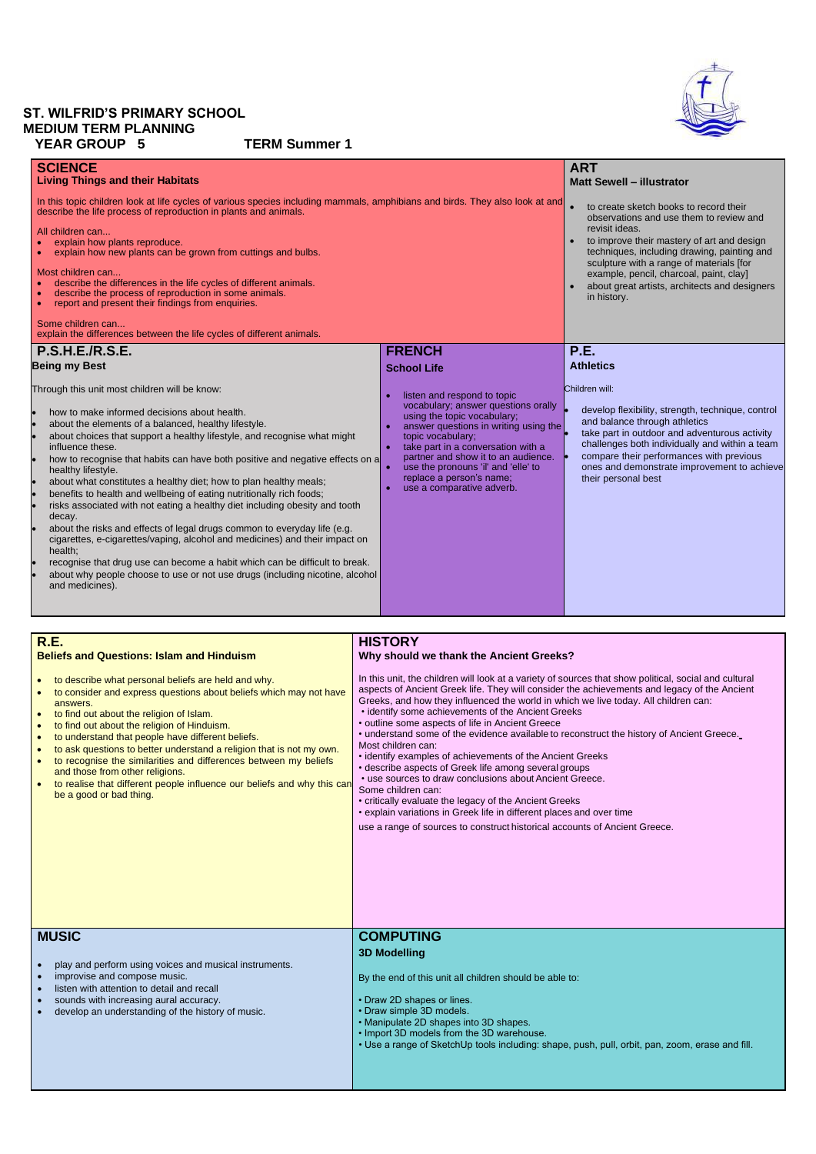# **ST. WILFRID'S PRIMARY SCHOOL MEDIUM TERM PLANNING YEAR GROUP 5 TERM Summer 1**

| <b>SCIENCE</b><br><b>Living Things and their Habitats</b><br>In this topic children look at life cycles of various species including mammals, amphibians and birds. They also look at and<br>describe the life process of reproduction in plants and animals.<br>All children can<br>explain how plants reproduce.<br>explain how new plants can be grown from cuttings and bulbs.<br>Most children can<br>describe the differences in the life cycles of different animals.<br>describe the process of reproduction in some animals.<br>report and present their findings from enquiries.<br>Some children can<br>explain the differences between the life cycles of different animals.                                                                                                                                                                                                                                                                   |                                                                                                                                                                                                                                                                                                                                              | <b>ART</b><br><b>Matt Sewell - illustrator</b><br>to create sketch books to record their<br>observations and use them to review and<br>revisit ideas.<br>to improve their mastery of art and design<br>techniques, including drawing, painting and<br>sculpture with a range of materials [for<br>example, pencil, charcoal, paint, clay]<br>about great artists, architects and designers<br>in history. |
|------------------------------------------------------------------------------------------------------------------------------------------------------------------------------------------------------------------------------------------------------------------------------------------------------------------------------------------------------------------------------------------------------------------------------------------------------------------------------------------------------------------------------------------------------------------------------------------------------------------------------------------------------------------------------------------------------------------------------------------------------------------------------------------------------------------------------------------------------------------------------------------------------------------------------------------------------------|----------------------------------------------------------------------------------------------------------------------------------------------------------------------------------------------------------------------------------------------------------------------------------------------------------------------------------------------|-----------------------------------------------------------------------------------------------------------------------------------------------------------------------------------------------------------------------------------------------------------------------------------------------------------------------------------------------------------------------------------------------------------|
| <b>P.S.H.E./R.S.E.</b><br><b>Being my Best</b>                                                                                                                                                                                                                                                                                                                                                                                                                                                                                                                                                                                                                                                                                                                                                                                                                                                                                                             | <b>FRENCH</b><br><b>School Life</b>                                                                                                                                                                                                                                                                                                          | <b>P.E.</b><br><b>Athletics</b>                                                                                                                                                                                                                                                                                                                                                                           |
| Through this unit most children will be know:<br>how to make informed decisions about health.<br>about the elements of a balanced, healthy lifestyle.<br>about choices that support a healthy lifestyle, and recognise what might<br>influence these.<br>how to recognise that habits can have both positive and negative effects on a<br>healthy lifestyle.<br>about what constitutes a healthy diet; how to plan healthy meals;<br>benefits to health and wellbeing of eating nutritionally rich foods;<br>risks associated with not eating a healthy diet including obesity and tooth<br>decay.<br>about the risks and effects of legal drugs common to everyday life (e.g.<br>cigarettes, e-cigarettes/vaping, alcohol and medicines) and their impact on<br>health;<br>recognise that drug use can become a habit which can be difficult to break.<br>about why people choose to use or not use drugs (including nicotine, alcohol<br>and medicines). | listen and respond to topic<br>vocabulary; answer questions orally<br>using the topic vocabulary;<br>answer questions in writing using the<br>topic vocabulary;<br>take part in a conversation with a<br>partner and show it to an audience.<br>use the pronouns 'il' and 'elle' to<br>replace a person's name;<br>use a comparative adverb. | Children will:<br>develop flexibility, strength, technique, control<br>and balance through athletics<br>take part in outdoor and adventurous activity<br>challenges both individually and within a team<br>compare their performances with previous<br>ones and demonstrate improvement to achieve<br>their personal best                                                                                 |

#### **R.E. Beliefs and Questions: Islam and Hinduism** • to describe what personal beliefs are held and why. • to consider and express questions about beliefs which may not have answers. • to find out about the religion of Islam. • to find out about the religion of Hinduism. • to understand that people have different beliefs. • to ask questions to better understand a religion that is not my own. to recognise the similarities and differences between my beliefs and those from other religions. • to realise that different people influence our beliefs and why this can be a good or bad thing. **HISTORY Why should we thank the Ancient Greeks?** In this unit, the children will look at a variety of sources that show political, social and cultural aspects of Ancient Greek life. They will consider the achievements and legacy of the Ancient Greeks, and how they influenced the world in which we live today. All children can: • identify some achievements of the Ancient Greeks • outline some aspects of life in Ancient Greece • understand some of the evidence available to reconstruct the history of Ancient Greece. Most children can: • identify examples of achievements of the Ancient Greeks • describe aspects of Greek life among several groups • use sources to draw conclusions about Ancient Greece. Some children can: • critically evaluate the legacy of the Ancient Greeks

• explain variations in Greek life in different places and over time

use a range of sources to construct historical accounts of Ancient Greece.

# **MUSIC**

- play and perform using voices and musical instruments.
- improvise and compose music.
- listen with attention to detail and recall
- sounds with increasing aural accuracy.
- develop an understanding of the history of music.

# **COMPUTING 3D Modelling**

By the end of this unit all children should be able to:

- Draw 2D shapes or lines.
- Draw simple 3D models.
- Manipulate 2D shapes into 3D shapes.
- Import 3D models from the 3D warehouse.
- Use a range of SketchUp tools including: shape, push, pull, orbit, pan, zoom, erase and fill.